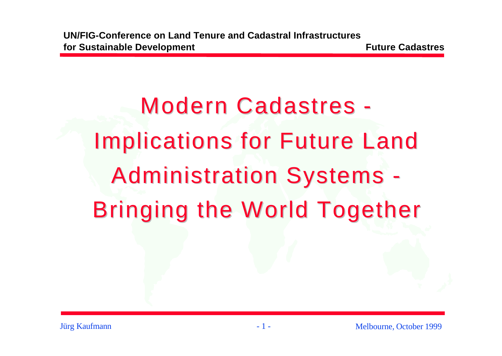Modern Cadastres - Implications for Future Land Administration Systems - Bringing the World Together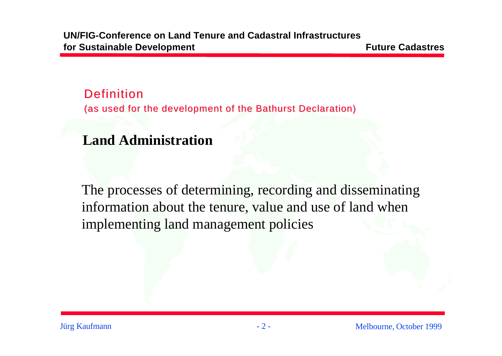#### **Definition**

(as used for the development of the Bathurst Declaration)

#### **Land Administration**

The processes of determining, recording and disseminating information about the tenure, value and use of land when implementing land management policies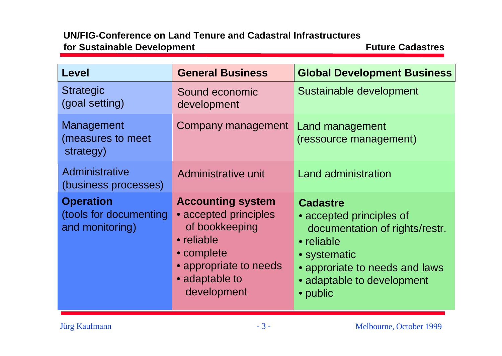| <b>Level</b>                                                  | <b>General Business</b>                                                                                                                                    | <b>Global Development Business</b>                                                                                                                                                      |
|---------------------------------------------------------------|------------------------------------------------------------------------------------------------------------------------------------------------------------|-----------------------------------------------------------------------------------------------------------------------------------------------------------------------------------------|
| <b>Strategic</b><br>(goal setting)                            | Sound economic<br>development                                                                                                                              | Sustainable development                                                                                                                                                                 |
| Management<br>(measures to meet<br>strategy)                  | Company management Land management                                                                                                                         | (ressource management)                                                                                                                                                                  |
| Administrative<br>(business processes)                        | Administrative unit                                                                                                                                        | <b>Land administration</b>                                                                                                                                                              |
| <b>Operation</b><br>(tools for documenting<br>and monitoring) | <b>Accounting system</b><br>• accepted principles<br>of bookkeeping<br>• reliable<br>• complete<br>• appropriate to needs<br>• adaptable to<br>development | <b>Cadastre</b><br>• accepted principles of<br>documentation of rights/restr.<br>• reliable<br>• systematic<br>• approriate to needs and laws<br>• adaptable to development<br>• public |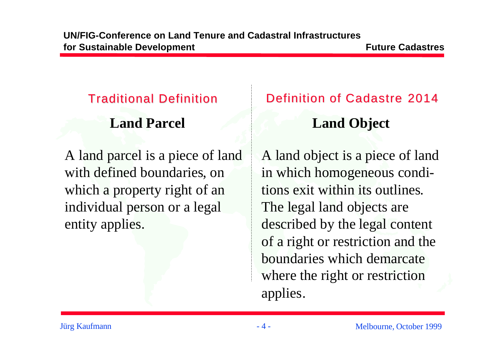### **Land Parcel**

A land parcel is a piece of land with defined boundaries, on which a property right of an individual person or a legal entity applies.

# Traditional Definition Definition of Cadastre 2014 **Land Object**

A land object is a piece of land in which homogeneous conditions exit within its outlines. The legal land objects are described by the legal content of a right or restriction and the boundaries which demarcate where the right or restriction applies.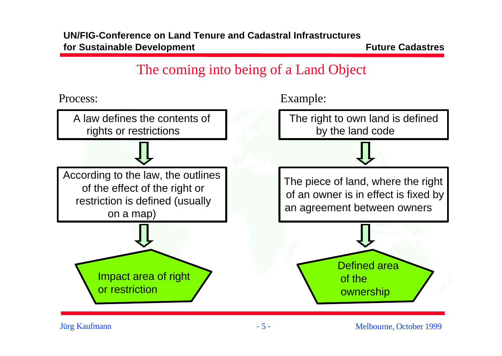### The coming into being of a Land Object



Jürg Kaufmann - 5 -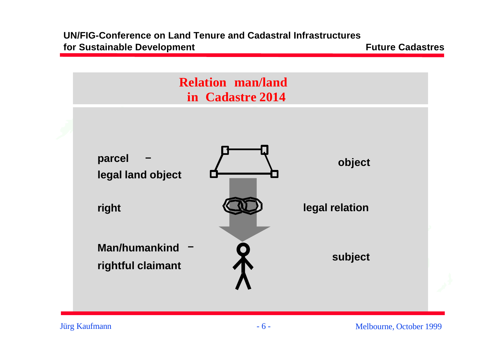

Jürg Kaufmann - 6 -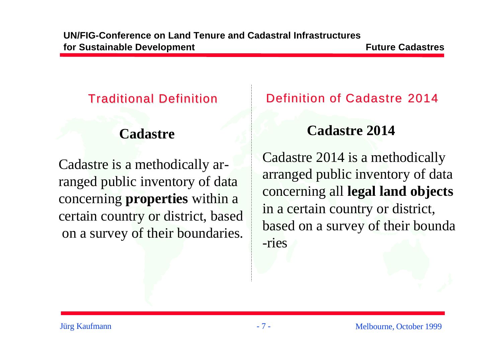Cadastre is a methodically arranged public inventory of data concerning **properties** within a certain country or district, based on a survey of their boundaries.

#### Traditional Definition Definition of Cadastre 2014

## **Cadastre Cadastre 2014**

Cadastre 2014 is a methodically arranged public inventory of data concerning all **legal land objects** in a certain country or district, based on a survey of their bounda -ries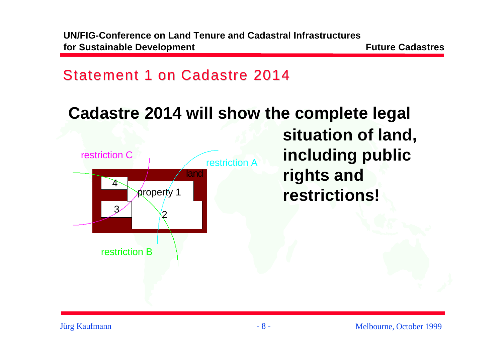**UN/FIG-Conference on Land Tenure and Cadastral Infrastructures for Sustainable Development** *n n n* **<b>***n n n n* **<b>***n n n n n n n n n n n n n n n n n n n n n n n n n*

#### Statement 1 on Cadastre 2014

# **Cadastre 2014 will show the complete legal**



**situation of land, including public rights and restrictions!**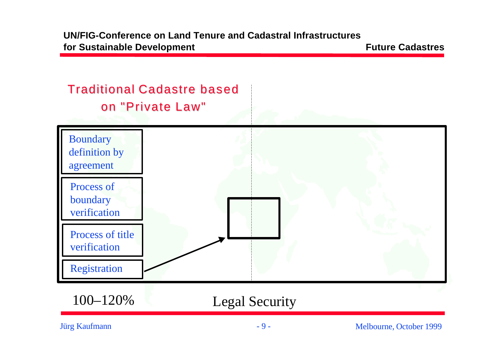

Jürg Kaufmann - 9 -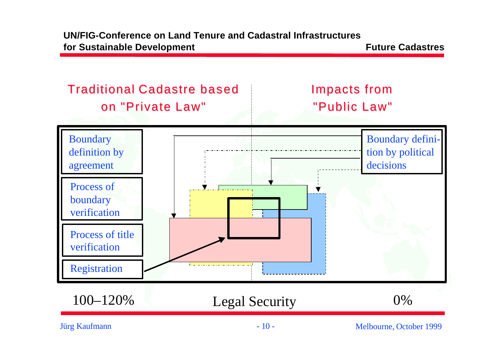



Jürg Kaufmann - 10 -

Melbourne, October 1999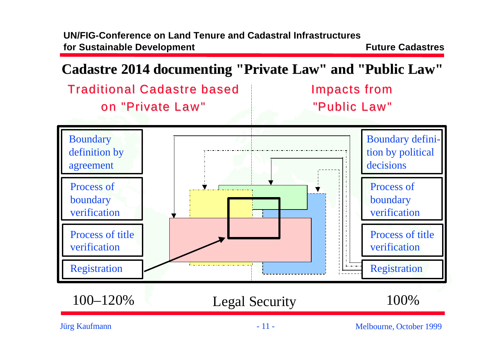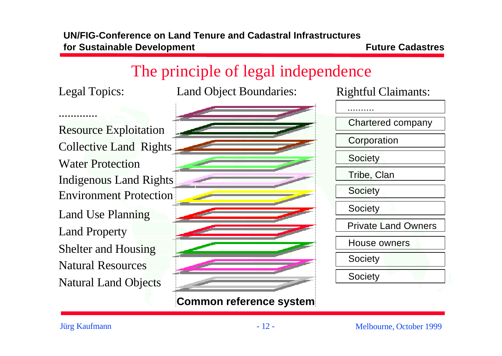$\mathbf{r}$ 

## The principle of legal independence

 $\bullet$ 

.............

Legal Topics: Land Object Boundaries: Rightful Claimants:

Land Property Collective Land Rights **Water Protection** Indigenous Land Rights **Environment Protection** Land Use Planning Shelter and Housing Natural Resources Natural Land Objects **Resource Exploitation** 

| 3 |                         |  |  |
|---|-------------------------|--|--|
|   |                         |  |  |
| S |                         |  |  |
| 1 |                         |  |  |
|   |                         |  |  |
|   |                         |  |  |
|   |                         |  |  |
|   |                         |  |  |
|   |                         |  |  |
|   | Common reference system |  |  |

| <b>Chartered company</b>   |  |
|----------------------------|--|
| Corporation                |  |
| <b>Society</b>             |  |
| Tribe, Clan                |  |
| <b>Society</b>             |  |
| <b>Society</b>             |  |
| <b>Private Land Owners</b> |  |
| House owners               |  |
| Society                    |  |
| Society                    |  |
|                            |  |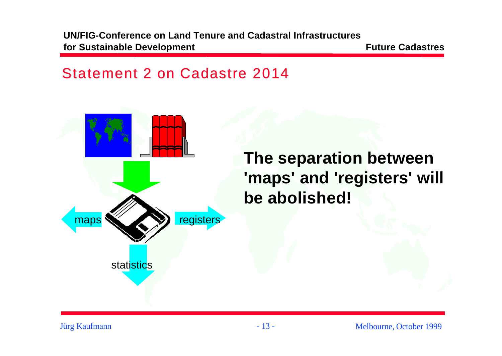#### Statement 2 on Cadastre 2014



Jürg Kaufmann - 13 -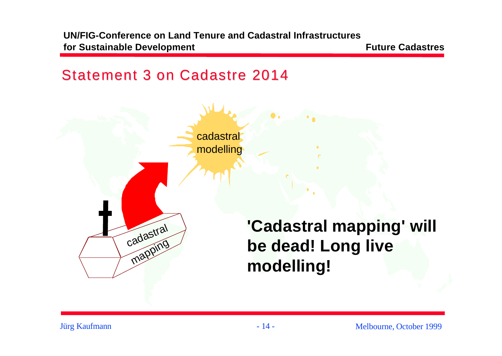#### Statement 3 on Cadastre 2014

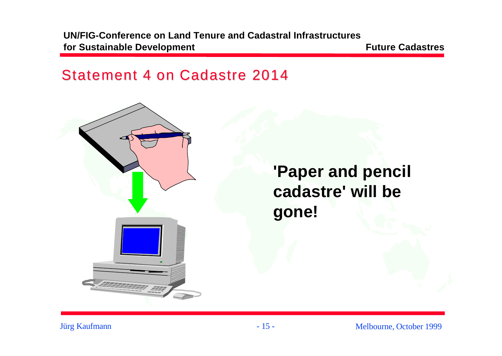#### Statement 4 on Cadastre 2014



Jürg Kaufmann - 15 -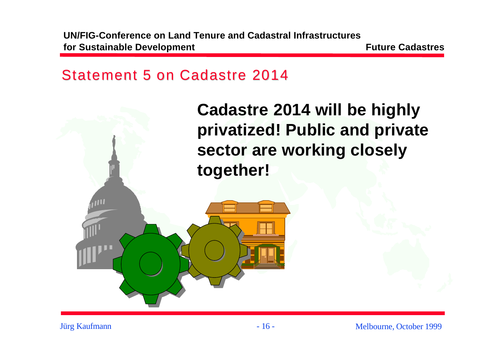#### Statement 5 on Cadastre 2014

**Cadastre 2014 will be highly privatized! Public and private sector are working closely together!**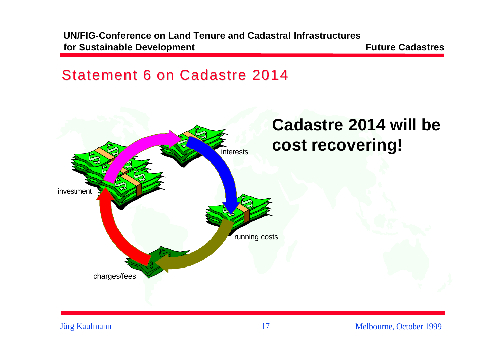#### Statement 6 on Cadastre 2014

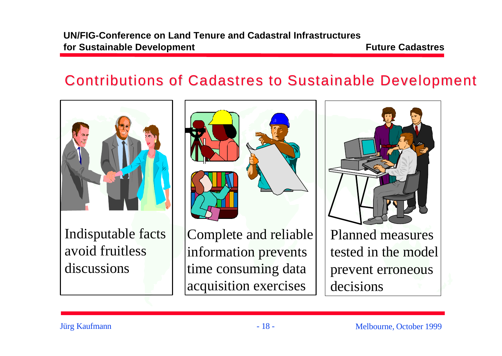### Contributions of Cadastres to Sustainable Development

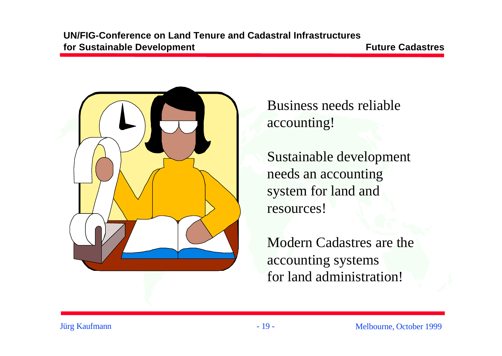

Business needs reliable accounting!

Sustainable development needs an accounting system for land and resources!

Modern Cadastres are the accounting systems for land administration!

Jürg Kaufmann - 19 -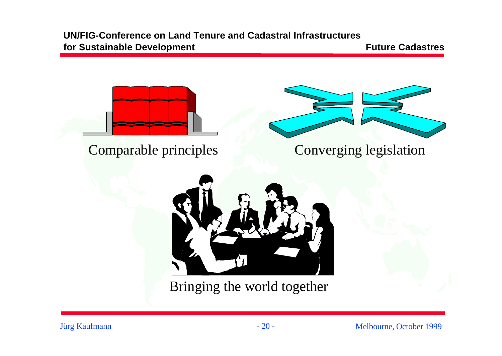